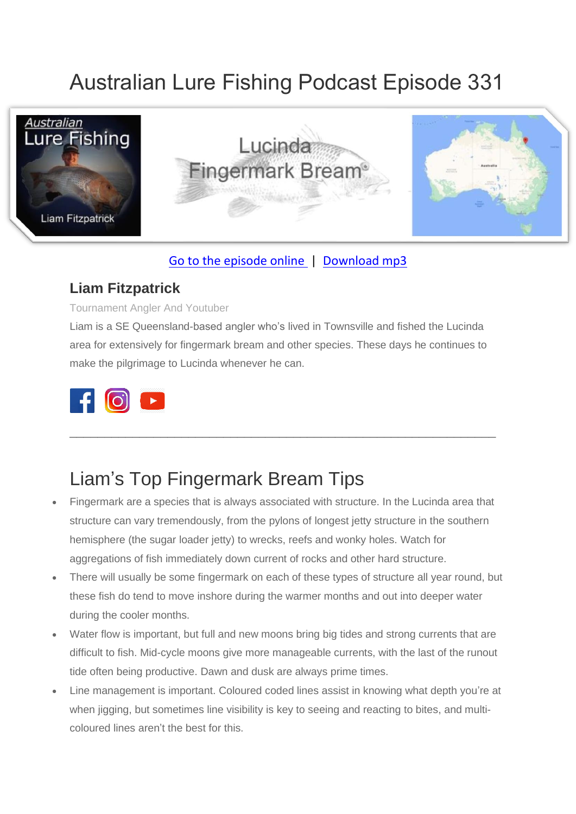# Australian Lure Fishing Podcast Episode 331



### [Go to the episode online](https://doclures.com/lucinda-fingermark-bream-liam-fitzpatrick/) | [Download mp3](https://traffic.libsyn.com/secure/doclures/east-kimberley-sooty-grunter-dick-pasfield.mp3)

### **Liam Fitzpatrick**

#### Tournament Angler And Youtuber

Liam is a SE Queensland-based angler who's lived in Townsville and fished the Lucinda area for extensively for fingermark bream and other species. These days he continues to make the pilgrimage to Lucinda whenever he can.

\_\_\_\_\_\_\_\_\_\_\_\_\_\_\_\_\_\_\_\_\_\_\_\_\_\_\_\_\_\_\_\_\_\_\_\_\_\_\_\_\_\_\_\_\_\_\_\_\_\_\_\_\_\_\_\_\_\_\_\_\_



## Liam's Top Fingermark Bream Tips

- Fingermark are a species that is always associated with structure. In the Lucinda area that structure can vary tremendously, from the pylons of longest jetty structure in the southern hemisphere (the sugar loader jetty) to wrecks, reefs and wonky holes. Watch for aggregations of fish immediately down current of rocks and other hard structure.
- There will usually be some fingermark on each of these types of structure all year round, but these fish do tend to move inshore during the warmer months and out into deeper water during the cooler months.
- Water flow is important, but full and new moons bring big tides and strong currents that are difficult to fish. Mid-cycle moons give more manageable currents, with the last of the runout tide often being productive. Dawn and dusk are always prime times.
- Line management is important. Coloured coded lines assist in knowing what depth you're at when jigging, but sometimes line visibility is key to seeing and reacting to bites, and multicoloured lines aren't the best for this.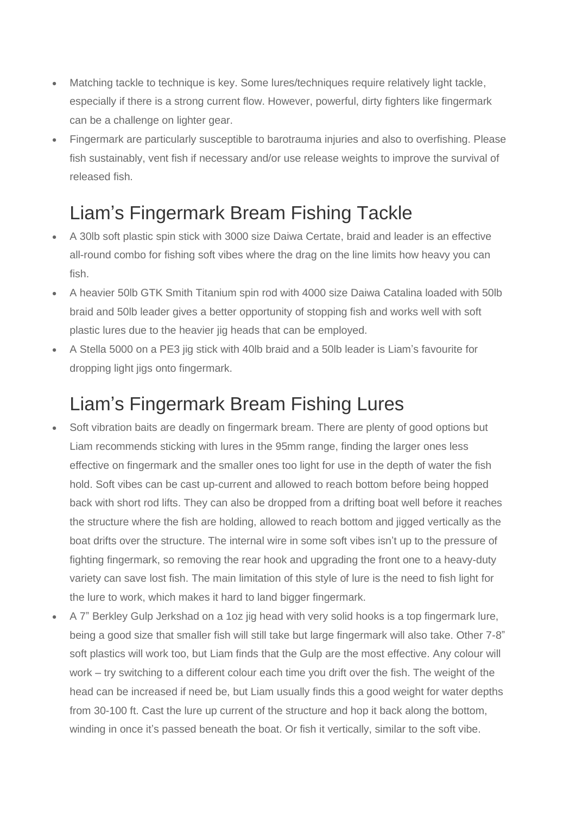- Matching tackle to technique is key. Some lures/techniques require relatively light tackle, especially if there is a strong current flow. However, powerful, dirty fighters like fingermark can be a challenge on lighter gear.
- Fingermark are particularly susceptible to barotrauma injuries and also to overfishing. Please fish sustainably, vent fish if necessary and/or use release weights to improve the survival of released fish.

# Liam's Fingermark Bream Fishing Tackle

- A 30lb soft plastic spin stick with 3000 size Daiwa Certate, braid and leader is an effective all-round combo for fishing soft vibes where the drag on the line limits how heavy you can fish.
- A heavier 50lb GTK Smith Titanium spin rod with 4000 size Daiwa Catalina loaded with 50lb braid and 50lb leader gives a better opportunity of stopping fish and works well with soft plastic lures due to the heavier jig heads that can be employed.
- A Stella 5000 on a PE3 jig stick with 40lb braid and a 50lb leader is Liam's favourite for dropping light jigs onto fingermark.

## Liam's Fingermark Bream Fishing Lures

- Soft vibration baits are deadly on fingermark bream. There are plenty of good options but Liam recommends sticking with lures in the 95mm range, finding the larger ones less effective on fingermark and the smaller ones too light for use in the depth of water the fish hold. Soft vibes can be cast up-current and allowed to reach bottom before being hopped back with short rod lifts. They can also be dropped from a drifting boat well before it reaches the structure where the fish are holding, allowed to reach bottom and jigged vertically as the boat drifts over the structure. The internal wire in some soft vibes isn't up to the pressure of fighting fingermark, so removing the rear hook and upgrading the front one to a heavy-duty variety can save lost fish. The main limitation of this style of lure is the need to fish light for the lure to work, which makes it hard to land bigger fingermark.
- A 7" Berkley Gulp Jerkshad on a 1oz jig head with very solid hooks is a top fingermark lure, being a good size that smaller fish will still take but large fingermark will also take. Other 7-8" soft plastics will work too, but Liam finds that the Gulp are the most effective. Any colour will work – try switching to a different colour each time you drift over the fish. The weight of the head can be increased if need be, but Liam usually finds this a good weight for water depths from 30-100 ft. Cast the lure up current of the structure and hop it back along the bottom, winding in once it's passed beneath the boat. Or fish it vertically, similar to the soft vibe.